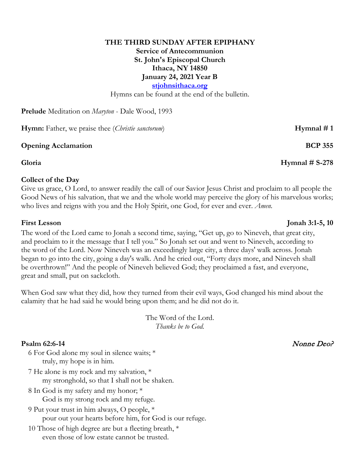# **THE THIRD SUNDAY AFTER EPIPHANY Service of Antecommunion St. John's Episcopal Church Ithaca, NY 14850 January 24, 2021 Year B stjohnsithaca.org**

Hymns can be found at the end of the bulletin.

**Prelude** Meditation on *Maryton* - Dale Wood, 1993

**Hymn:** Father, we praise thee *(Christie sanctorum)* **Hymnal # 1** 

### **Opening Acclamation BCP 355**

### **Collect of the Day**

Give us grace, O Lord, to answer readily the call of our Savior Jesus Christ and proclaim to all people the Good News of his salvation, that we and the whole world may perceive the glory of his marvelous works; who lives and reigns with you and the Holy Spirit, one God, for ever and ever. *Amen.*

The word of the Lord came to Jonah a second time, saying, "Get up, go to Nineveh, that great city, and proclaim to it the message that I tell you." So Jonah set out and went to Nineveh, according to the word of the Lord. Now Nineveh was an exceedingly large city, a three days' walk across. Jonah began to go into the city, going a day's walk. And he cried out, "Forty days more, and Nineveh shall be overthrown!" And the people of Nineveh believed God; they proclaimed a fast, and everyone, great and small, put on sackcloth.

When God saw what they did, how they turned from their evil ways, God changed his mind about the calamity that he had said he would bring upon them; and he did not do it.

> The Word of the Lord. *Thanks be to God.*

## **Psalm** 62:6-14 Nonne Deo?

- 6 For God alone my soul in silence waits; \* truly, my hope is in him.
- 7 He alone is my rock and my salvation, \* my stronghold, so that I shall not be shaken.
- 8 In God is my safety and my honor; \* God is my strong rock and my refuge.
- 9 Put your trust in him always, O people, \* pour out your hearts before him, for God is our refuge.
- 10 Those of high degree are but a fleeting breath, \* even those of low estate cannot be trusted.

## **Gloria Hymnal # S-278**

## **First Lesson Jonah 3:1-5, 10**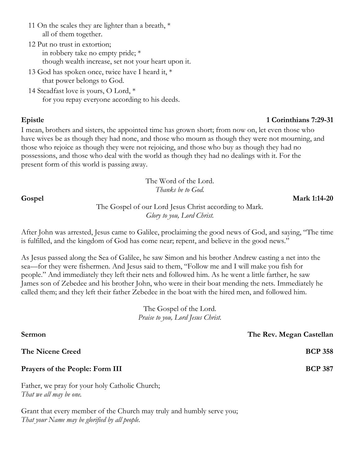- 11 On the scales they are lighter than a breath,  $*$ all of them together.
- 12 Put no trust in extortion; in robbery take no empty pride; \* though wealth increase, set not your heart upon it.
- 13 God has spoken once, twice have I heard it, \* that power belongs to God.

14 Steadfast love is yours, O Lord, \* for you repay everyone according to his deeds.

## **Epistle 1 Corinthians 7:29-31**

I mean, brothers and sisters, the appointed time has grown short; from now on, let even those who have wives be as though they had none, and those who mourn as though they were not mourning, and those who rejoice as though they were not rejoicing, and those who buy as though they had no possessions, and those who deal with the world as though they had no dealings with it. For the present form of this world is passing away.

## The Word of the Lord. *Thanks be to God.*

**Gospel Mark 1:14-20**

The Gospel of our Lord Jesus Christ according to Mark. *Glory to you, Lord Christ.*

After John was arrested, Jesus came to Galilee, proclaiming the good news of God, and saying, "The time is fulfilled, and the kingdom of God has come near; repent, and believe in the good news."

As Jesus passed along the Sea of Galilee, he saw Simon and his brother Andrew casting a net into the sea—for they were fishermen. And Jesus said to them, "Follow me and I will make you fish for people." And immediately they left their nets and followed him. As he went a little farther, he saw James son of Zebedee and his brother John, who were in their boat mending the nets. Immediately he called them; and they left their father Zebedee in the boat with the hired men, and followed him.

> The Gospel of the Lord. *Praise to you, Lord Jesus Christ.*

**Sermon The Rev. Megan Castellan**

**Prayers of the People: Form III BCP 387** 

Father, we pray for your holy Catholic Church; *That we all may be one.*

Grant that every member of the Church may truly and humbly serve you; *That your Name may be glorified by all people.*

**The Nicene Creed BCP 358**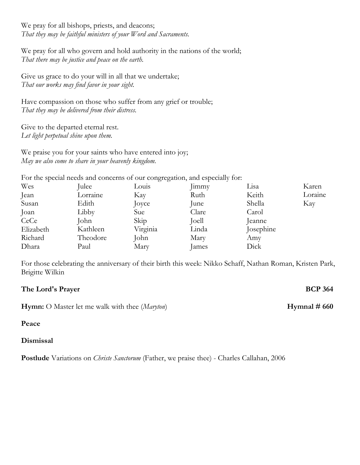We pray for all bishops, priests, and deacons; *That they may be faithful ministers of your Word and Sacraments.*

We pray for all who govern and hold authority in the nations of the world; *That there may be justice and peace on the earth.*

Give us grace to do your will in all that we undertake; *That our works may find favor in your sight.*

Have compassion on those who suffer from any grief or trouble; *That they may be delivered from their distress.*

Give to the departed eternal rest. *Let light perpetual shine upon them.*

We praise you for your saints who have entered into joy; *May we also come to share in your heavenly kingdom.*

For the special needs and concerns of our congregation, and especially for:

| Wes       | Julee    | Louis    | Jimmy | Lisa      | Karen   |
|-----------|----------|----------|-------|-----------|---------|
| Jean      | Lorraine | Kay      | Ruth  | Keith     | Loraine |
| Susan     | Edith    | Joyce    | June  | Shella    | Kay     |
| Joan      | Libby    | Sue      | Clare | Carol     |         |
| CeCe      | John     | Skip     | Joell | eanne     |         |
| Elizabeth | Kathleen | Virginia | Linda | Josephine |         |
| Richard   | Theodore | John     | Mary  | Amy       |         |
| Dhara     | Paul     | Mary     | James | Dick      |         |

For those celebrating the anniversary of their birth this week: Nikko Schaff, Nathan Roman, Kristen Park, Brigitte Wilkin

# **The Lord's Prayer BCP 364**

**Hymn:** O Master let me walk with thee (*Maryton*) **Hymnal # 660** 

## **Peace**

## **Dismissal**

**Postlude** Variations on *Christe Sanctorum* (Father, we praise thee) - Charles Callahan, 2006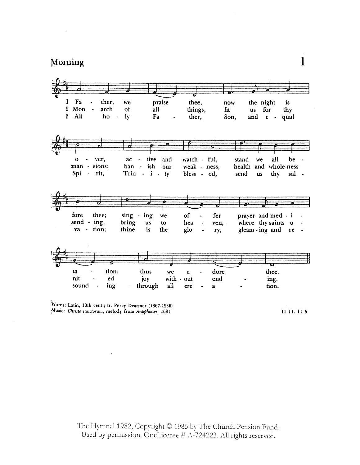

Words: Latin, 10th cent.; tr. Percy Dearmer (1867-1936) Music: Christe sanctorum, melody from Antiphoner, 1681

11 11, 11 5

The Hymnal 1982, Copyright © 1985 by The Church Pension Fund. Used by permission. OneLicense # A-724223. All rights reserved.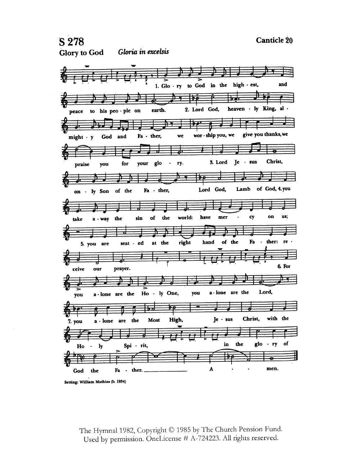and

₽

 $\overline{r}$ 





Setting: William Mathias (b. 1934)

The Hymnal 1982, Copyright C 1985 by The Church Pension Fund. Used by permission. OneLicense # A-724223. All rights reserved.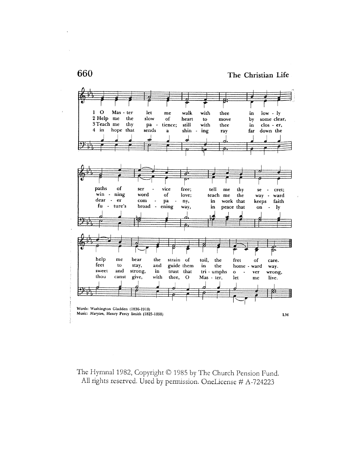

The Hymnal 1982, Copyright © 1985 by The Church Pension Fund. All rights reserved. Used by permission. OneLicense # A-724223

660